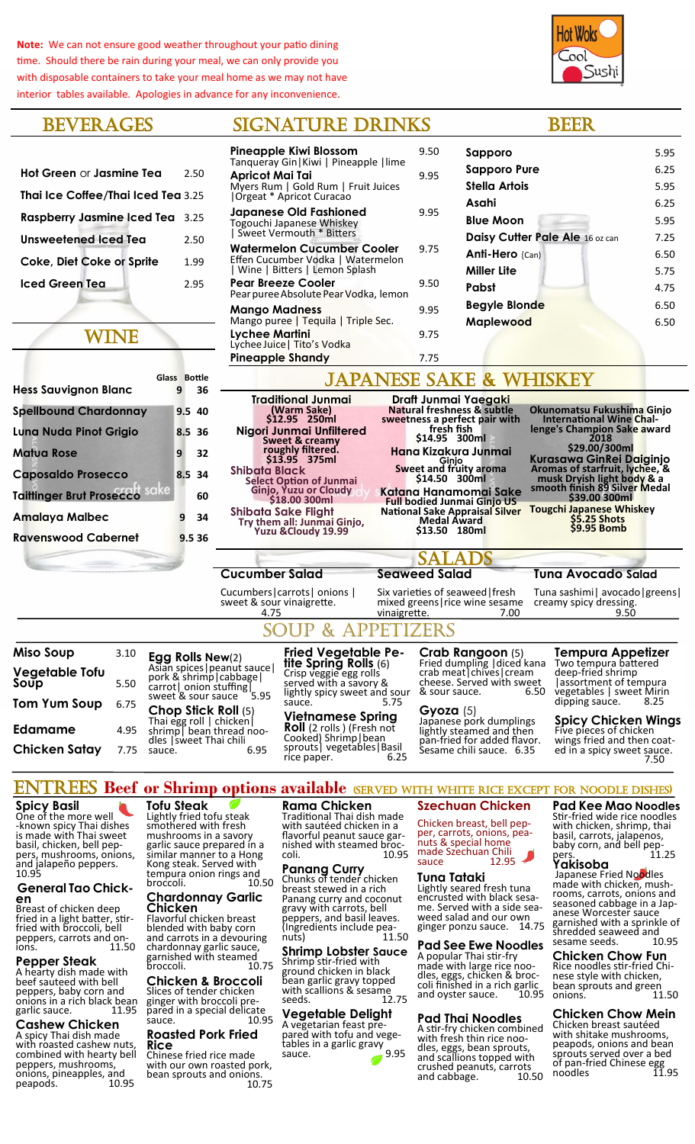**Note:** We can not ensure good weather throughout your patio dining time. Should there be rain during your meal, we can only provide you with disposable containers to take your meal home as we may not have interior tables available. Apologies in advance for any inconvenience.



**Sapporo** 5.95 Sapporo Pure 6.25 **Stella Artois** 5.95 **Asahi** 6.25 **Blue Moon** 5.95 **Daisy Cutter Pale Ale 16 oz can** 7.25 **Anti-Hero** (Can) 6.50 **Miller Lite** 1 5.75 **Pabst** 4.75 **Begyle Blonde** 6.50 **Maplewood** 6.50

# BEVERAGES SIGNATURE DRINKS BEER

| <b>Hot Green</b> or Jasmine Tea        | 2.50 |
|----------------------------------------|------|
| Thai Ice Coffee/Thai Iced Tea 3.25     |      |
| <b>Raspberry Jasmine Iced Tea</b> 3.25 |      |
| Unsweetened Iced Tea                   | 2.50 |
| <b>Coke, Diet Coke or Sprite</b>       | 1.99 |
| Iced Green Tea                         | 2.95 |
|                                        |      |

# wine

|                                         | Glass Bottle |
|-----------------------------------------|--------------|
| <b>Hess Sauvignon Blanc</b>             | 36<br>9      |
| <b>Spellbound Chardonnay</b>            | $9.5\;40$    |
| <b>Luna Nuda Pinot Grigio</b>           | 8.5 36       |
| Matua Rose                              | 9<br>32      |
| <b>Caposaldo Prosecco</b>               | 8.5 34       |
| sake<br><b>Taittinger Brut Prosecco</b> | 60           |
| Amalaya Malbec                          | 9<br>34      |
| <b>Ravenswood Cabernet</b>              | 9.536        |
|                                         |              |

| Lychee Martini<br>Lychee Juice   Tito's Vodka                                                                                                                                                     | 9.75                                                                                                                                                                                                  |                                                                                                                               |
|---------------------------------------------------------------------------------------------------------------------------------------------------------------------------------------------------|-------------------------------------------------------------------------------------------------------------------------------------------------------------------------------------------------------|-------------------------------------------------------------------------------------------------------------------------------|
| <b>Pineapple Shandy</b>                                                                                                                                                                           | 7.75                                                                                                                                                                                                  |                                                                                                                               |
|                                                                                                                                                                                                   | <b>JAPANESE SAKE &amp; WHISKEY</b>                                                                                                                                                                    |                                                                                                                               |
| <b>Traditional Junmai</b><br>(Warm Sake)<br>$$12.95$ 250ml<br>Nigori Junmai Unfiltered<br>Sweet & creamy<br>roughly filtered.<br>\$13.95 375ml<br>Shibata Black<br><b>Select Option of Junmai</b> | Draft Junmai Yaegaki<br>Natural freshness & subtle<br>sweetness a perfect pair with<br>fresh fish<br>\$14.95 300ml<br>Hana Kizakura Junmai<br>Ginjo<br><b>Sweet and fruity aroma</b><br>\$14.50 300ml | <b>Okunomatsu</b><br><b>Internation</b><br>lenge's Cham<br>\$29.0<br><b>Kurasawa G</b><br><b>Aromas of sta</b><br>musk Dryish |
| Ginjo, Yuzu or Cloudy<br>$$18.00300$ ml                                                                                                                                                           | Katana Hanamomai Sake<br>Full hodied Junmai Cinie US                                                                                                                                                  | smooth finish<br>\$39.0                                                                                                       |

|Orgeat \* Apricot Curacao

Togouchi Japanese Whiskey | Sweet Vermouth \* Bitters

**Pineapple Kiwi Blossom** 9.50 Tanqueray Gin|Kiwi | Pineapple |lime **Apricot Mai Tai** 9.95 Myers Rum | Gold Rum | Fruit Juices

**Japanese Old Fashioned** 9.95

Watermelon Cucumber Cooler 9.75 Effen Cucumber Vodka | Watermelon | Wine | Bitters | Lemon Splash

**Pear Breeze Cooler** 9.50 Pear puree Absolute Pear Vodka, lemon **Mango Madness** 9.95

Mango puree | Tequila | Triple Sec.

**\$18.00 300ml Shibata Sake Flight Try them all: Junmai Ginjo, Yuzu &Cloudy 19.99**

#### **Cucumber Salad**

Cucumbers|carrots| onions | sweet & sour vinaigrette. 4.75

**Katana Hanamomai Sake Full bodied Junmai Ginjo US National Sake Appraisal Silver Medal Award \$13.50 180ml**

**Okunomatsu Fukushima Ginjo International Wine Challenge's Champion Sake award 2018 \$29.00/300ml Kurasawa GinRei Daiginjo Aromas of starfruit, lychee, & musk Dryish light body & a smooth finish 89 Silver Medal \$39.00 300ml Tougchi Japanese Whiskey \$5.25 Shots**

**\$9.95 Bomb**

**Tuna Avocado Salad** Tuna sashimi| avocado|greens|

creamy spicy dressing.

# **SALADS**

# **Seaweed Salad**

Six varieties of seaweed|fresh mixed greens|rice wine sesame vinaigrette.

> & sour sauce. **Gyoza** (5)

**Crab Rangoon** (5)

crab meat|chives|cream cheese. Served with sweet<br>& sour sauce. 6.50

Japanese pork dumplings lightly steamed and then pan-fried for added flavor. Sesame chili sauce. 6.35

### Fried dumpling |diced kana **Tempura Appetizer** Two tempura battered

9.50

deep-fried shrimp |assortment of tempura vegetables | sweet Mirin dipping sauce. 8.25

# **Spicy Chicken Wings**

Five pieces of chicken wings fried and then coated in a spicy sweet sauce. 7.50

**Miso Soup** 3.10 **Soup** 5.50 **Tom Yum Soup** 6.75 **Edamame** 4.95 **Chicken Satay** 7.75 **Egg Rolls New**(2) Asian spices|peanut sauce| pork & shrimp|cabbage| carrot| onion stuffing| sweet & sour sauce 5.95 **Chop Stick Roll** (5) Thai egg roll | chicken| shrimp| bean thread noodles | sweet Thai chili<br>sauce. 6.95 sauce.

# **ENTREES Beef or Shrimp options available** (SERVED WITH WHITE RICE EXCEPT FOR NOODLE DISHES)

Soup & Appetizers

**Fried Vegetable Petite Spring Rolls** (6) Crisp veggie egg rolls served with a savory & lightly spicy sweet and sour sauce. 5.75 **Vietnamese Spring Roll** (2 rolls ) (Fresh not Cooked) Shrimp|bean sprouts| vegetables|Basil rice paper. 6.25

**Spicy Basil** One of the more well -known spicy Thai dishes is made with Thai sweet basil, chicken, bell peppers, mushrooms, onions, and jalapeño peppers. 10.95

**Vegetable Tofu**

#### **General Tao Chicken**

Breast of chicken deep Fried in a light batter, stir-<br>fried in a light batter, stir-<br>fried with broccoli, bell fried with broccoli, bell peppers, carrots and onions. 11.50

# **Pepper Steak**

A hearty dish made with beef sauteed with bell peppers, baby corn and onions in a rich black bean garlic sauce. 11.95

**Cashew Chicken** A spicy Thai dish made with roasted cashew nuts, combined with hearty bell peppers, mushrooms, onions, pineapples, and peapods. 10.95

**Tofu Steak**  Lightly fried tofu steak smothered with fresh mushrooms in a savory garlic sauce prepared in a similar manner to a Hong Kong steak. Served with tempura onion rings and

broccoli. 10.50 **Chardonnay Garlic Chicken**

Flavorful chicken breast blended with baby corn and carrots in a devouring chardonnay garlic sauce, garnished with steamed broccoli. 10.75

**Chicken & Broccoli** Slices of tender chicken ginger with broccoli prepared in a special delicate sauce. 10.95

#### **Roasted Pork Fried Rice**

Chinese fried rice made with our own roasted pork, bean sprouts and onions. 10.75

# **Rama Chicken** Traditional Thai dish made

with sautéed chicken in a flavorful peanut sauce garnished with steamed broccoli. 10.95

**Panang Curry** Chunks of tender chicken breast stewed in a rich Panang curry and coconut gravy with carrots, bell peppers, and basil leaves. (Ingredients include peanuts) 11.50

**Shrimp Lobster Sauce** Shrimp stir-fried with ground chicken in black bean garlic gravy topped with scallions & sesame seeds. 12.75

#### **Vegetable Delight**  A vegetarian feast pre-

pared with tofu and vegetables in a garlic gravy sauce.  $\frac{9.95}{2}$ 

# **Szechuan Chicken**

Chicken breast, bell pepper, carrots, onions, peanuts & special home made Szechuan Chili sauce 12.95

### **Tuna Tataki**

Lightly seared fresh tuna encrusted with black sesame. Served with a side seaweed salad and our own ginger ponzu sauce. 14.75

**Pad See Ewe Noodles**

A popular Thai stir-fry made with large rice noodles, eggs, chicken & broccoli finished in a rich garlic and oyster sauce. [10.95]

### **Pad Thai Noodles**

A stir-fry chicken combined with fresh thin rice noodles, eggs, bean sprouts, and scallions topped with crushed peanuts, carrots and cabbage.  $10.50$ 

**Pad Kee Mao Noodles** Stir-fried wide rice noodles with chicken, shrimp, thai basil, carrots, jalapenos, baby corn, and bell peppers. 11.25 pers.<br>**Yakisoba** 

Japanese Fried Noodles made with chicken, mushrooms, carrots, onions and seasoned cabbage in a Japanese Worcester sauce garnished with a sprinkle of shredded seaweed and sesame seeds. 10.95

**Chicken Chow Fun** Rice noodles stir-fried Chinese style with chicken, bean sprouts and green onions. 11.50

**Chicken Chow Mein**  Chicken breast sautéed with shitake mushrooms, peapods, onions and bean sprouts served over a bed of pan-fried Chinese egg noodles 11.95